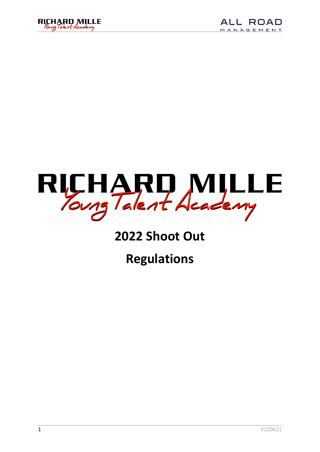





### **2022 Shoot Out**

**Regulations**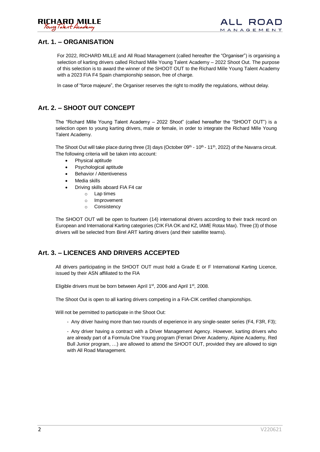

#### **Art. 1. – ORGANISATION**

For 2022, RICHARD MILLE and All Road Management (called hereafter the "Organiser") is organising a selection of karting drivers called Richard Mille Young Talent Academy – 2022 Shoot Out. The purpose of this selection is to award the winner of the SHOOT OUT to the Richard Mille Young Talent Academy with a 2023 FIA F4 Spain championship season, free of charge.

In case of "force majeure", the Organiser reserves the right to modify the regulations, without delay.

#### **Art. 2. – SHOOT OUT CONCEPT**

The "Richard Mille Young Talent Academy – 2022 Shoot" (called hereafter the "SHOOT OUT") is a selection open to young karting drivers, male or female, in order to integrate the Richard Mille Young Talent Academy.

The Shoot Out will take place during three (3) days (October 09<sup>th</sup> - 10<sup>th</sup> - 11<sup>th</sup>, 2022) of the Navarra circuit. The following criteria will be taken into account:

- Physical aptitude
- Psychological aptitude
- Behavior / Attentiveness
- Media skills
- Driving skills aboard FIA F4 car
	- o Lap times
	- o Improvement
	- o Consistency

The SHOOT OUT will be open to fourteen (14) international drivers according to their track record on European and International Karting categories (CIK FIA OK and KZ, IAME Rotax Max). Three (3) of those drivers will be selected from Birel ART karting drivers (and their satellite teams).

#### **Art. 3. – LICENCES AND DRIVERS ACCEPTED**

All drivers participating in the SHOOT OUT must hold a Grade E or F International Karting Licence, issued by their ASN affiliated to the FIA

Eligible drivers must be born between April 1<sup>st</sup>, 2006 and April 1<sup>st</sup>, 2008.

The Shoot Out is open to all karting drivers competing in a FIA-CIK certified championships.

Will not be permitted to participate in the Shoot Out:

- Any driver having more than two rounds of experience in any single-seater series (F4, F3R, F3);

- Any driver having a contract with a Driver Management Agency. However, karting drivers who are already part of a Formula One Young program (Ferrari Driver Academy, Alpine Academy, Red Bull Junior program, …) are allowed to attend the SHOOT OUT, provided they are allowed to sign with All Road Management.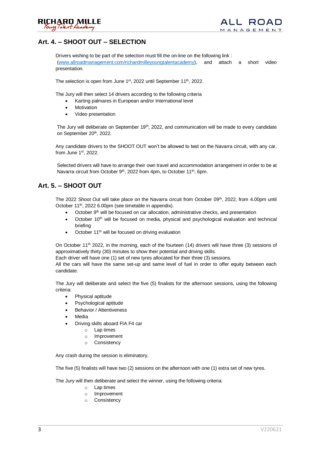#### **Art. 4. – SHOOT OUT – SELECTION**

Drivers wishing to be part of the selection must fill the on-line on the following link : [\(www.allroadmanagement.com/richardmilleyoungtalentacademy\)](http://www.allroadmanagement.com/richardmilleyoungtalentacademy), and attach a short video presentation.

The selection is open from June 1<sup>st</sup>, 2022 until September 11<sup>th</sup>, 2022.

The Jury will then select 14 drivers according to the following criteria

- Karting palmares in European and/or International level
- **Motivation**
- Video presentation

The Jury will deliberate on September 19<sup>th</sup>, 2022, and communication will be made to every candidate on September 20<sup>th</sup>, 2022.

Any candidate drivers to the SHOOT OUT won't be allowed to test on the Navarra circuit, with any car, from June 1st, 2022.

Selected drivers will have to arrange their own travel and accommodation arrangement in order to be at Navarra circuit from October 9<sup>th</sup>, 2022 from 4pm, to October 11<sup>th</sup>, 6pm.

#### **Art. 5. – SHOOT OUT**

The 2022 Shoot Out will take place on the Navarra circuit from October 09<sup>th</sup>, 2022, from 4.00pm until October 11<sup>th</sup>, 2022 6.00pm (see timetable in appendix).

- October  $9<sup>th</sup>$  will be focused on car allocation, administrative checks, and presentation
- October 10<sup>th</sup> will be focused on media, physical and psychological evaluation and technical briefing
- October 11<sup>th</sup> will be focused on driving evaluation

On October 11<sup>th</sup> 2022, in the morning, each of the fourteen (14) drivers will have three (3) sessions of approximatively thirty (30) minutes to show their potential and driving skills.

Each driver will have one (1) set of new tyres allocated for their three (3) sessions.

All the cars will have the same set-up and same level of fuel in order to offer equity between each candidate.

The Jury will deliberate and select the five (5) finalists for the afternoon sessions, using the following criteria:

- Physical aptitude
- Psychological aptitude
- Behavior / Attentiveness
- **Media**
- Driving skills aboard FIA F4 car
	- o Lap times
	- o Improvement
	- o Consistency

Any crash during the session is eliminatory.

The five (5) finalists will have two (2) sessions on the afternoon with one (1) extra set of new tyres.

The Jury will then deliberate and select the winner, using the following criteria:

- o Lap times
- o Improvement
- o Consistency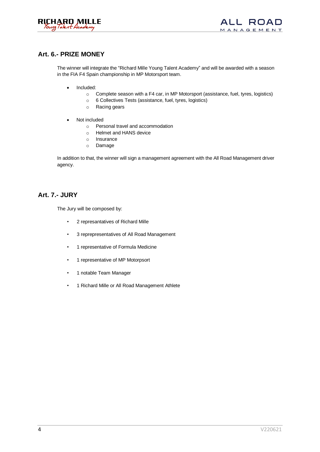

#### **Art. 6.- PRIZE MONEY**

The winner will integrate the "Richard Mille Young Talent Academy" and will be awarded with a season in the FIA F4 Spain championship in MP Motorsport team.

- Included:
	- o Complete season with a F4 car, in MP Motorsport (assistance, fuel, tyres, logistics)
	- o 6 Collectives Tests (assistance, fuel, tyres, logistics)
	- o Racing gears
- Not included
	- o Personal travel and accommodation
	- o Helmet and HANS device
	- o Insurance
	- o Damage

In addition to that, the winner will sign a management agreement with the All Road Management driver agency.

#### **Art. 7.- JURY**

The Jury will be composed by:

- 2 represantatives of Richard Mille
- 3 reprepresentatives of All Road Management
- 1 representative of Formula Medicine
- 1 representative of MP Motorpsort
- 1 notable Team Manager
- 1 Richard Mille or All Road Management Athlete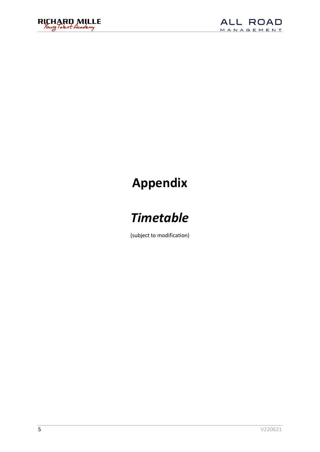



### **Appendix**

## *Timetable*

(subject to modification)